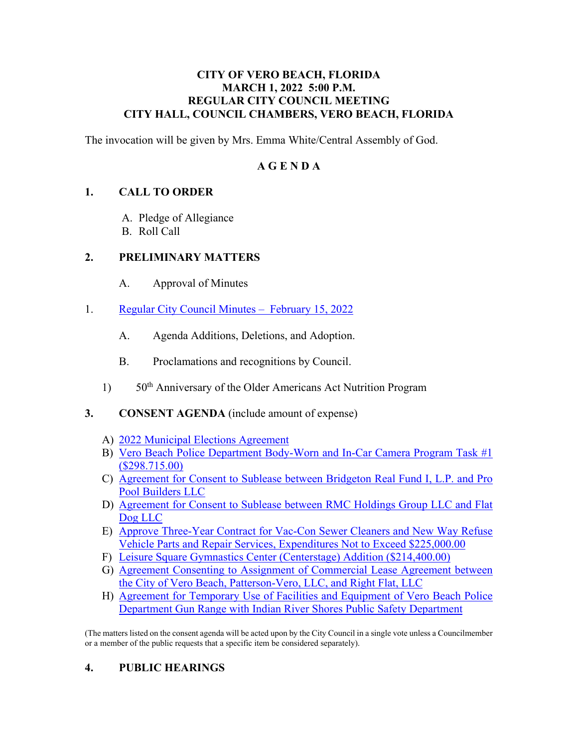### **CITY OF VERO BEACH, FLORIDA MARCH 1, 2022 5:00 P.M. REGULAR CITY COUNCIL MEETING CITY HALL, COUNCIL CHAMBERS, VERO BEACH, FLORIDA**

The invocation will be given by Mrs. Emma White/Central Assembly of God.

### **A G E N D A**

### **1. CALL TO ORDER**

- A. Pledge of Allegiance
- B. Roll Call

### **2. PRELIMINARY MATTERS**

- $A<sub>1</sub>$ Approval of Minutes
- 1. Regular City Council Minutes February 15, 2022
	- A. Agenda Additions, Deletions, and Adoption.
	- B. Proclamations and recognitions by Council.
	- 1) 50<sup>th</sup> Anniversary of the Older Americans Act Nutrition Program

### **3. CONSENT AGENDA** (include amount of expense)

- A) [2022 Municipal Elections Agreement](https://www.covb.org/DocumentCenter/View/5750/3-A)
- [B\) Vero Beach Police Department Body-Worn and In-Car Camera Program Task #1](https://www.covb.org/DocumentCenter/View/5751/3-B)  [\(\\$298.715.00\)](https://www.covb.org/DocumentCenter/View/5751/3-B)
- [C\) Agreement for Consent to Sublease between Bridgeton Real Fund I, L.P. and Pro](https://www.covb.org/DocumentCenter/View/5752/3-C)  [Pool Builders LLC](https://www.covb.org/DocumentCenter/View/5752/3-C)
- [D\) Agreement for Consent to Sublease between RMC Holdings Group LLC and Flat](https://www.covb.org/DocumentCenter/View/5753/3-D)  [Dog LLC](https://www.covb.org/DocumentCenter/View/5753/3-D)
- [E\) Approve Three-Year Contract for Vac-Con Sewer Cleaners and New Way Refuse](https://www.covb.org/DocumentCenter/View/5754/3-E)  [Vehicle Parts and Repair Services, Expenditures Not to Exceed \\$225,000.00](https://www.covb.org/DocumentCenter/View/5754/3-E)
- F) [Leisure Square Gymnastics Center \(Centerstage\) Addition \(\\$214,400.00\)](https://www.covb.org/DocumentCenter/View/5755/3-F)
- G) **Agreement Consenting to Assignment of Commercial Lease Agreement between** [the City of Vero Beach, Patterson-Vero, LLC, and Right Flat, LLC](https://www.covb.org/DocumentCenter/View/5756/3-G)
- [H\) Agreement for Temporary Use of Facilities and Equipment of Vero Beach Police](https://www.covb.org/DocumentCenter/View/5757/3-H)  [Department Gun Range with Indian River Shores Public Safety Department](https://www.covb.org/DocumentCenter/View/5757/3-H)

(The matters listed on the consent agenda will be acted upon by the City Council in a single vote unless a Councilmember or a member of the public requests that a specific item be considered separately).

### **4. PUBLIC HEARINGS**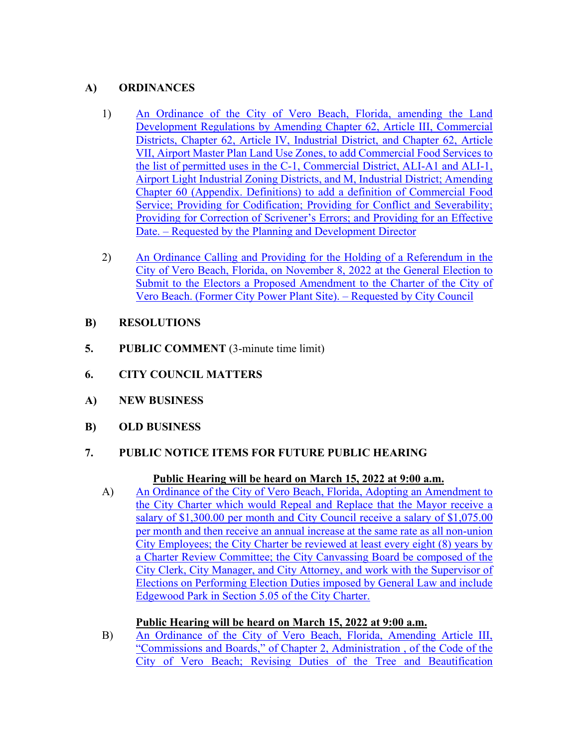### **A) ORDINANCES**

- 1) An Ordinance of the City of Vero Beach, Florida, amending the Land [Districts, Chapter 62, Article IV, Industrial District, and Chapter 62, Article](https://www.covb.org/DocumentCenter/View/5758/4A-1)  [VII, Airport Master Plan Land Use Zones, to add Commercial Food Services to](https://www.covb.org/DocumentCenter/View/5758/4A-1)  [Development Regulations by Amending Chapter 62, Article III, Commercial](https://www.covb.org/DocumentCenter/View/5758/4A-1)  [the list of permitted uses in the C-1, Commercial District, ALI-A1 and ALI-1,](https://www.covb.org/DocumentCenter/View/5758/4A-1)  [Airport Light Industrial Zoning Districts, and M, Industrial District; Amending](https://www.covb.org/DocumentCenter/View/5758/4A-1)  [Chapter 60 \(Appendix. Definitions\) to add a definition of Commercial Food](https://www.covb.org/DocumentCenter/View/5758/4A-1)  [Service; Providing for Codification; Providing for Conflict and Severability;](https://www.covb.org/DocumentCenter/View/5758/4A-1)  [Providing for Correction of Scrivener's Errors; and Providing for an Effective](https://www.covb.org/DocumentCenter/View/5758/4A-1)  [Date. – Requested by the Planning and Development Director](https://www.covb.org/DocumentCenter/View/5758/4A-1)
- [2\) An Ordinance Calling and Providing for the Holding of a Referendum in the](https://www.covb.org/DocumentCenter/View/5759/4A-2)  [City of Vero Beach, Florida, on November 8, 2022 at the General Election to](https://www.covb.org/DocumentCenter/View/5759/4A-2)  [Submit to the Electors a Proposed Amendment to the Charter of the City of](https://www.covb.org/DocumentCenter/View/5759/4A-2)  [Vero Beach. \(Former City Power Plant Site\). – Requested by City Council](https://www.covb.org/DocumentCenter/View/5759/4A-2)
- **B) RESOLUTIONS**
- **5. PUBLIC COMMENT** (3-minute time limit)
- **6. CITY COUNCIL MATTERS**
- **A) NEW BUSINESS**
- **B) OLD BUSINESS**

# PUBLIC NOTICE ITEMS FOR FUTURE PUBLIC HEARING **7. PUBLIC NOTICE ITEMS FOR FUTURE PUBLIC HEARING Public Hearing will be heard on March 15, 2022 at 9:00 a.m.**

A) An Ordinance of the City of Vero Beach, Florida, Adopting an Amendment to [the City Charter which would Repeal and Replace that the Mayor receive a](https://www.covb.org/DocumentCenter/View/5760/7-A)  [salary of \\$1,300.00 per month and City Council receive a salary of \\$1,075.00](https://www.covb.org/DocumentCenter/View/5760/7-A)  [per month and then receive an annual increase at the same rate as all non-union](https://www.covb.org/DocumentCenter/View/5760/7-A)  [City Employees; the City Charter be reviewed at least every eight \(8\) years by](https://www.covb.org/DocumentCenter/View/5760/7-A)  [a Charter Review Committee; the City Canvassing Board be composed of the](https://www.covb.org/DocumentCenter/View/5760/7-A)  [City Clerk, City Manager, and City Attorney, and work with the Supervisor of](https://www.covb.org/DocumentCenter/View/5760/7-A)  [Elections on Performing Election Duties imposed by General Law and include](https://www.covb.org/DocumentCenter/View/5760/7-A)  [Edgewood Park in Section 5.05 of the City Charter.](https://www.covb.org/DocumentCenter/View/5760/7-A) 

### **Public Hearing will be heard on March 15, 2022 at 9:00 a.m.**

[B\) An Ordinance of the City of Vero Beach, Florida, Amending Article III,](https://www.covb.org/DocumentCenter/View/5761/7-B)  ["Commissions and Boards," of Chapter 2, Administration , of the Code of the](https://www.covb.org/DocumentCenter/View/5761/7-B)  [City of Vero Beach; Revising Duties of the Tree and Beautification](https://www.covb.org/DocumentCenter/View/5761/7-B)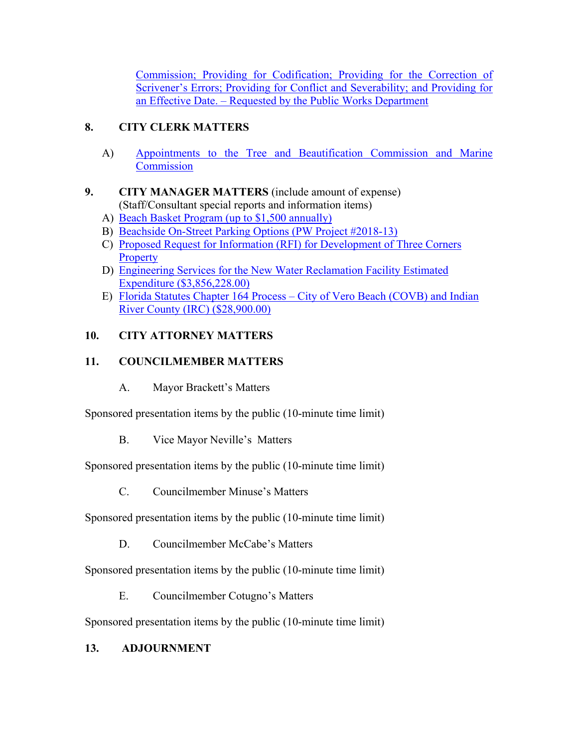[Commission; Providing for Codification; Providing for the Correction of](https://www.covb.org/DocumentCenter/View/5761/7-B)  [Scrivener's Errors; Providing for Conflict and Severability; and Providing for](https://www.covb.org/DocumentCenter/View/5761/7-B)  [an Effective Date. – Requested by the Public Works Department](https://www.covb.org/DocumentCenter/View/5761/7-B) 

## **8. CITY CLERK MATTERS**

A) Appointments to the Tree and Beautification Commission and Marine **Commission** 

### $9.$ (Staff/Consultant special reports and information items) **9. CITY MANAGER MATTERS** (include amount of expense)

- A) Beach Basket Program (up to \$1,500 annually)
- B) [Beachside On-Street Parking Options \(PW Project #2018-13\)](https://www.covb.org/DocumentCenter/View/5777/9-B)
- [C\) Proposed Request for Information \(RFI\) for Development of Three Corners](https://www.covb.org/DocumentCenter/View/5765/9-C)  **Property**
- [D\) Engineering Services for the New Water Reclamation Facility Estimated](https://www.covb.org/DocumentCenter/View/5766/9-D)  [Expenditure \(\\$3,856,228.00\)](https://www.covb.org/DocumentCenter/View/5766/9-D)
- E) Florida Statutes Chapter 164 Process City of Vero Beach (COVB) and Indian [River County \(IRC\) \(\\$28,900.00\)](https://www.covb.org/DocumentCenter/View/5748/9-E)

### **10. CITY ATTORNEY MATTERS**

### **11. COUNCILMEMBER MATTERS**

A. Mayor Brackett's Matters

Sponsored presentation items by the public (10-minute time limit)

B. Vice Mayor Neville's Matters

Sponsored presentation items by the public (10-minute time limit)

C. Councilmember Minuse's Matters

Sponsored presentation items by the public (10-minute time limit)

D. Councilmember McCabe's Matters

Sponsored presentation items by the public (10-minute time limit)

E. Councilmember Cotugno's Matters

Sponsored presentation items by the public (10-minute time limit)

### **13. ADJOURNMENT**